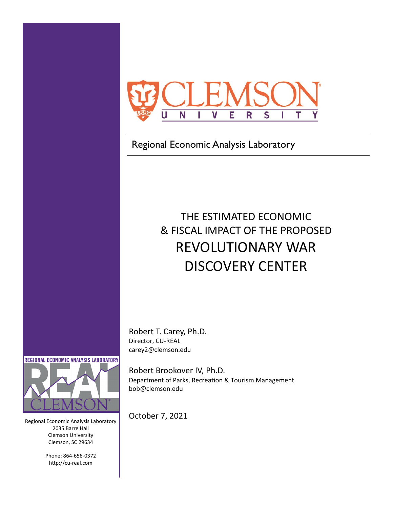

# Regional Economic Analysis Laboratory

# THE ESTIMATED ECONOMIC & FISCAL IMPACT OF THE PROPOSED REVOLUTIONARY WAR DISCOVERY CENTER

Robert T. Carey, Ph.D. Director, CU-REAL carey2@clemson.edu

# Robert Brookover IV, Ph.D.

Department of Parks, Recreation & Tourism Management bob@clemson.edu

October 7, 2021



Regional Economic Analysis Laboratory 2035 Barre Hall Clemson University Clemson, SC 29634

> Phone: 864-656-0372 http://cu-real.com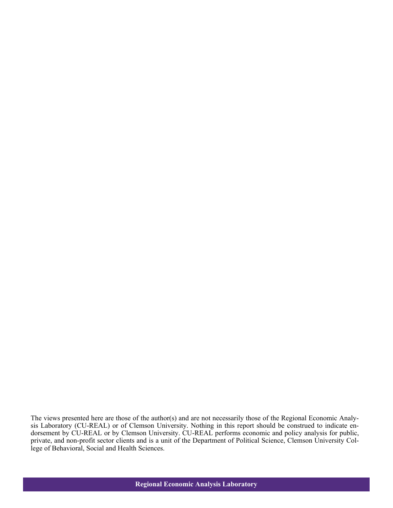The views presented here are those of the author(s) and are not necessarily those of the Regional Economic Analysis Laboratory (CU-REAL) or of Clemson University. Nothing in this report should be construed to indicate endorsement by CU-REAL or by Clemson University. CU-REAL performs economic and policy analysis for public, private, and non-profit sector clients and is a unit of the Department of Political Science, Clemson University College of Behavioral, Social and Health Sciences.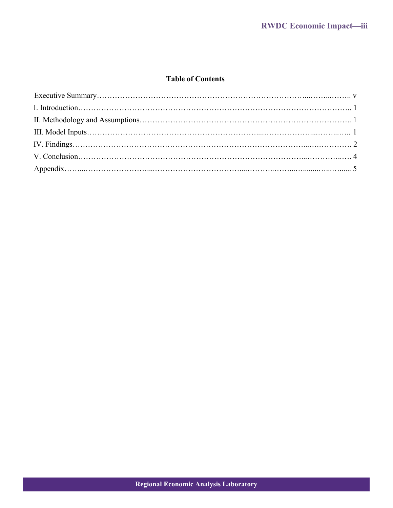# **Table of Contents**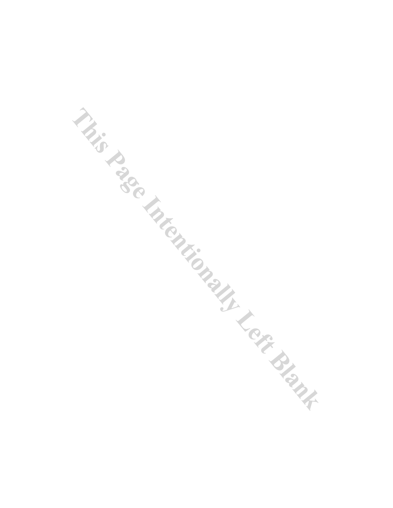This Page Intentionally Left Blank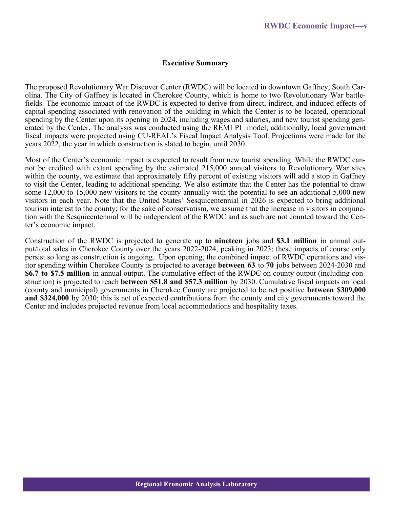# **Executive Summary**

The proposed Revolutionary War Discover Center (RWDC) will be located in downtown Gaffney, South Carolina. The City of Gaffney is located in Cherokee County, which is home to two Revolutionary War battlefields. The economic impact of the RWDC is expected to derive from direct, indirect, and induced effects of capital spending associated with renovation of the building in which the Center is to be located, operational spending by the Center upon its opening in 2024, including wages and salaries, and new tourist spending generated by the Center. The analysis was conducted using the REMI  $PI^+$  model; additionally, local government fiscal impacts were projected using CU-REAL's Fiscal Impact Analysis Tool. Projections were made for the years 2022, the year in which construction is slated to begin, until 2030.

Most of the Center's economic impact is expected to result from new tourist spending. While the RWDC cannot be credited with extant spending by the estimated 215,000 annual visitors to Revolutionary War sites within the county, we estimate that approximately fifty percent of existing visitors will add a stop in Gaffney to visit the Center, leading to additional spending. We also estimate that the Center has the potential to draw some 12,000 to 15,000 new visitors to the county annually with the potential to see an additional 5,000 new visitors in each year. Note that the United States' Sesquicentennial in 2026 is expected to bring additional tourism interest to the county; for the sake of conservatism, we assume that the increase in visitors in conjunction with the Sesquicentennial will be independent of the RWDC and as such are not counted toward the Center's economic impact.

Construction of the RWDC is projected to generate up to **nineteen** jobs and **\$3.1 million** in annual output/total sales in Cherokee County over the years 2022-2024, peaking in 2023; these impacts of course only persist so long as construction is ongoing. Upon opening, the combined impact of RWDC operations and visitor spending within Cherokee County is projected to average **between 63** to **70** jobs between 2024-2030 and **\$6.7 to \$7.5 million** in annual output. The cumulative effect of the RWDC on county output (including construction) is projected to reach **between \$51.8 and \$57.3 million** by 2030. Cumulative fiscal impacts on local (county and municipal) governments in Cherokee County are projected to be net positive **between \$309,000 and \$324,000** by 2030; this is net of expected contributions from the county and city governments toward the Center and includes projected revenue from local accommodations and hospitality taxes.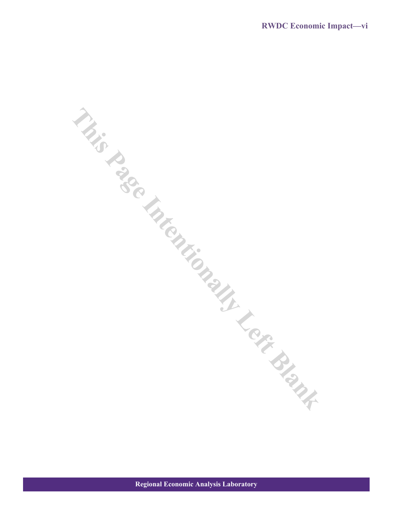This Page Intentionally Left Blank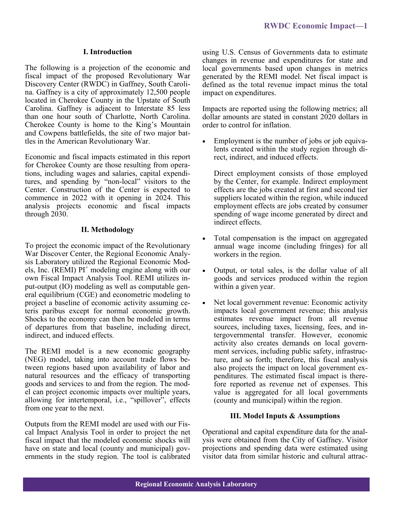## **I. Introduction**

The following is a projection of the economic and fiscal impact of the proposed Revolutionary War Discovery Center (RWDC) in Gaffney, South Carolina. Gaffney is a city of approximately 12,500 people located in Cherokee County in the Upstate of South Carolina. Gaffney is adjacent to Interstate 85 less than one hour south of Charlotte, North Carolina. Cherokee County is home to the King's Mountain and Cowpens battlefields, the site of two major battles in the American Revolutionary War.

Economic and fiscal impacts estimated in this report for Cherokee County are those resulting from operations, including wages and salaries, capital expenditures, and spending by "non-local" visitors to the Center. Construction of the Center is expected to commence in 2022 with it opening in 2024. This analysis projects economic and fiscal impacts through 2030.

# **II. Methodology**

To project the economic impact of the Revolutionary War Discover Center, the Regional Economic Analysis Laboratory utilized the Regional Economic Models, Inc. (REMI)  $PI^+$  modeling engine along with our own Fiscal Impact Analysis Tool. REMI utilizes input-output (IO) modeling as well as computable general equilibrium (CGE) and econometric modeling to project a baseline of economic activity assuming ceteris paribus except for normal economic growth. Shocks to the economy can then be modeled in terms of departures from that baseline, including direct, indirect, and induced effects.

The REMI model is a new economic geography (NEG) model, taking into account trade flows between regions based upon availability of labor and natural resources and the efficacy of transporting goods and services to and from the region. The model can project economic impacts over multiple years, allowing for intertemporal, i.e., "spillover", effects from one year to the next.

Outputs from the REMI model are used with our Fiscal Impact Analysis Tool in order to project the net fiscal impact that the modeled economic shocks will have on state and local (county and municipal) governments in the study region. The tool is calibrated

using U.S. Census of Governments data to estimate changes in revenue and expenditures for state and local governments based upon changes in metrics generated by the REMI model. Net fiscal impact is defined as the total revenue impact minus the total impact on expenditures.

Impacts are reported using the following metrics; all dollar amounts are stated in constant 2020 dollars in order to control for inflation.

Employment is the number of jobs or job equivalents created within the study region through direct, indirect, and induced effects.

Direct employment consists of those employed by the Center, for example. Indirect employment effects are the jobs created at first and second tier suppliers located within the region, while induced employment effects are jobs created by consumer spending of wage income generated by direct and indirect effects.

- Total compensation is the impact on aggregated annual wage income (including fringes) for all workers in the region.
- Output, or total sales, is the dollar value of all goods and services produced within the region within a given year.
- Net local government revenue: Economic activity impacts local government revenue; this analysis estimates revenue impact from all revenue sources, including taxes, licensing, fees, and intergovernmental transfer. However, economic activity also creates demands on local government services, including public safety, infrastructure, and so forth; therefore, this fiscal analysis also projects the impact on local government expenditures. The estimated fiscal impact is therefore reported as revenue net of expenses. This value is aggregated for all local governments (county and municipal) within the region.

# **III. Model Inputs & Assumptions**

Operational and capital expenditure data for the analysis were obtained from the City of Gaffney. Visitor projections and spending data were estimated using visitor data from similar historic and cultural attrac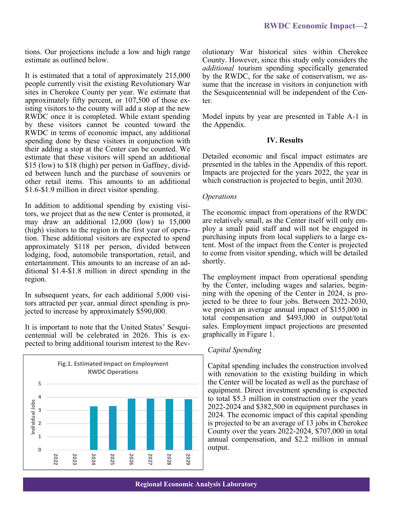tions. Our projections include a low and high range estimate as outlined below.

It is estimated that a total of approximately 215,000 people currently visit the existing Revolutionary War sites in Cherokee County per year. We estimate that approximately fifty percent, or 107,500 of those existing visitors to the county will add a stop at the new RWDC once it is completed. While extant spending by these visitors cannot be counted toward the RWDC in terms of economic impact, any additional spending done by these visitors in conjunction with their adding a stop at the Center can be counted. We estimate that these visitors will spend an additional \$15 (low) to \$18 (high) per person in Gaffney, divided between lunch and the purchase of souvenirs or other retail items. This amounts to an additional \$1.6-\$1.9 million in direct visitor spending.

In addition to additional spending by existing visitors, we project that as the new Center is promoted, it may draw an additional 12,000 (low) to 15,000 (high) visitors to the region in the first year of operation. These additional visitors are expected to spend approximately \$118 per person, divided between lodging, food, automobile transportation, retail, and entertainment. This amounts to an increase of an additional \$1.4-\$1.8 million in direct spending in the region.

In subsequent years, for each additional 5,000 visitors attracted per year, annual direct spending is projected to increase by approximately \$590,000.

It is important to note that the United States' Sesquicentennial will be celebrated in 2026. This is expected to bring additional tourism interest to the Rev-



olutionary War historical sites within Cherokee County. However, since this study only considers the *additional* tourism spending specifically generated by the RWDC, for the sake of conservatism, we assume that the increase in visitors in conjunction with the Sesquicentennial will be independent of the Center.

Model inputs by year are presented in Table A-1 in the Appendix.

#### **IV. Results**

Detailed economic and fiscal impact estimates are presented in the tables in the Appendix of this report. Impacts are projected for the years 2022, the year in which construction is projected to begin, until 2030.

#### *Operations*

The economic impact from operations of the RWDC are relatively small, as the Center itself will only employ a small paid staff and will not be engaged in purchasing inputs from local suppliers to a large extent. Most of the impact from the Center is projected to come from visitor spending, which will be detailed shortly.

The employment impact from operational spending by the Center, including wages and salaries, beginning with the opening of the Center in 2024, is projected to be three to four jobs. Between 2022-2030, we project an average annual impact of \$155,000 in total compensation and \$493,000 in output/total sales. Employment impact projections are presented graphically in Figure 1.

## *Capital Spending*

Capital spending includes the construction involved with renovation to the existing building in which the Center will be located as well as the purchase of equipment. Direct investment spending is expected to total \$5.3 million in construction over the years 2022-2024 and \$382,500 in equipment purchases in 2024. The economic impact of this capital spending is projected to be an average of 13 jobs in Cherokee County over the years 2022-2024, \$707,000 in total annual compensation, and \$2.2 million in annual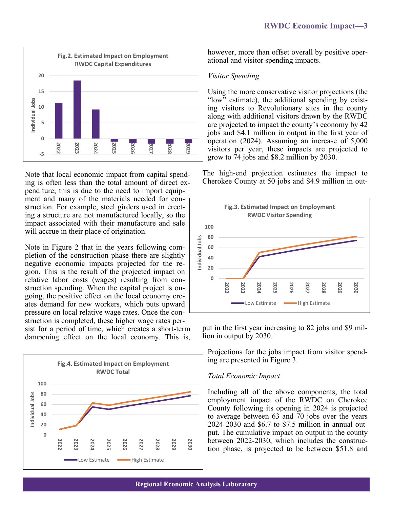

Note that local economic impact from capital spending is often less than the total amount of direct expenditure; this is due to the need to import equipment and many of the materials needed for construction. For example, steel girders used in erecting a structure are not manufactured locally, so the impact associated with their manufacture and sale will accrue in their place of origination.

Note in Figure 2 that in the years following completion of the construction phase there are slightly negative economic impacts projected for the region. This is the result of the projected impact on relative labor costs (wages) resulting from construction spending. When the capital project is ongoing, the positive effect on the local economy creates demand for new workers, which puts upward pressure on local relative wage rates. Once the construction is completed, these higher wage rates persist for a period of time, which creates a short-term dampening effect on the local economy. This is,



however, more than offset overall by positive operational and visitor spending impacts.

# *Visitor Spending*

Using the more conservative visitor projections (the "low" estimate), the additional spending by existing visitors to Revolutionary sites in the county along with additional visitors drawn by the RWDC are projected to impact the county's economy by 42 jobs and \$4.1 million in output in the first year of operation (2024). Assuming an increase of 5,000 visitors per year, these impacts are projected to grow to 74 jobs and \$8.2 million by 2030.

The high-end projection estimates the impact to Cherokee County at 50 jobs and \$4.9 million in out-



put in the first year increasing to 82 jobs and \$9 million in output by 2030.

Projections for the jobs impact from visitor spending are presented in Figure 3.

## *Total Economic Impact*

Including all of the above components, the total employment impact of the RWDC on Cherokee County following its opening in 2024 is projected to average between 63 and 70 jobs over the years 2024-2030 and \$6.7 to \$7.5 million in annual output. The cumulative impact on output in the county between 2022-2030, which includes the construction phase, is projected to be between \$51.8 and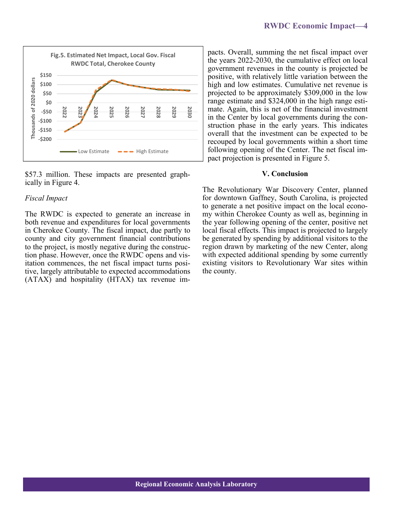



#### *Fiscal Impact*

The RWDC is expected to generate an increase in both revenue and expenditures for local governments in Cherokee County. The fiscal impact, due partly to county and city government financial contributions to the project, is mostly negative during the construction phase. However, once the RWDC opens and visitation commences, the net fiscal impact turns positive, largely attributable to expected accommodations (ATAX) and hospitality (HTAX) tax revenue im-

pacts. Overall, summing the net fiscal impact over the years 2022-2030, the cumulative effect on local government revenues in the county is projected be positive, with relatively little variation between the high and low estimates. Cumulative net revenue is projected to be approximately \$309,000 in the low range estimate and \$324,000 in the high range estimate. Again, this is net of the financial investment in the Center by local governments during the construction phase in the early years. This indicates overall that the investment can be expected to be recouped by local governments within a short time following opening of the Center. The net fiscal impact projection is presented in Figure 5.

#### **V. Conclusion**

The Revolutionary War Discovery Center, planned for downtown Gaffney, South Carolina, is projected to generate a net positive impact on the local economy within Cherokee County as well as, beginning in the year following opening of the center, positive net local fiscal effects. This impact is projected to largely be generated by spending by additional visitors to the region drawn by marketing of the new Center, along with expected additional spending by some currently existing visitors to Revolutionary War sites within the county.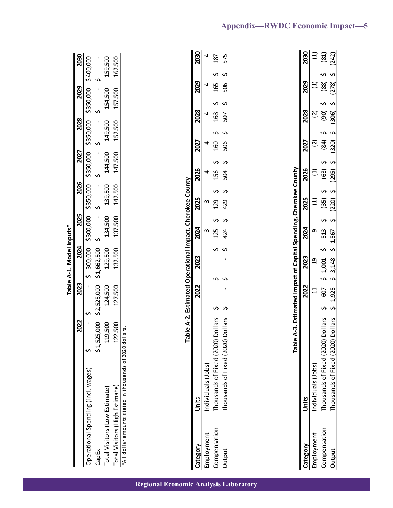|                                    |                                                                                                   | 2022                  | 2023        |              | 2024                  | 2025      | 2026                                                      | 2027       |                      | 2028           | 2029      |                 | 2030      |
|------------------------------------|---------------------------------------------------------------------------------------------------|-----------------------|-------------|--------------|-----------------------|-----------|-----------------------------------------------------------|------------|----------------------|----------------|-----------|-----------------|-----------|
| Operational Spending (incl. wages) |                                                                                                   | n                     | n           | S.           | 300,000               | \$300,000 | \$350,000                                                 | \$350,000  |                      | \$350,000      | \$350,000 |                 | \$400,000 |
| CapEx                              |                                                                                                   | 000<br>\$1,525,       | \$2,525,000 |              | \$1,662,500           | S         | S                                                         | S          | S                    |                | S         | S               |           |
| Total Visitors (Low Estimate)      |                                                                                                   | 500<br><sup>119</sup> | 124,500     |              | 129,500               | 134,500   | 139,500                                                   | 144,500    |                      | 149,500        | 154,500   |                 | 159,500   |
|                                    |                                                                                                   | ,500<br>122           | 127,500     |              | 132,500               | 137,500   | 142,500                                                   | 147,500    |                      | 152,500        | 157,500   |                 | 162,500   |
|                                    | Total Visitors (High Estimate) 122,50<br>*All dollar amounts stated in thousands of 2020 dollars. |                       |             |              |                       |           | Table A-2. Estimated Operational Impact, Cherokee County  |            |                      |                |           |                 |           |
| Category                           | Units                                                                                             |                       | 2022        |              | 2023                  | 2024      | 2025                                                      | 2026       | 2027                 | 2028           |           | 2029            | 2030      |
| Employment                         | Individuals (Jobs)                                                                                |                       |             |              |                       | m         | m                                                         | 4          | 4                    | 4              |           | 4               | 4         |
| Compensation                       | Thousands of Fixed (2020) Dollars                                                                 |                       | n.          |              |                       | 125       | n<br>29                                                   | S.<br>156  | 160                  | 163            |           | 165             | 187       |
| Output                             | Thousands of Fixed (2020) Dollars                                                                 |                       | S           | M            | ∽                     | ∽<br>424  | n<br>429                                                  | S<br>504   | n<br>506             | 507            | M         | n<br>506        | 575       |
|                                    |                                                                                                   | Table A               |             |              |                       |           | -3. Estimated Impact of Capital Spending, Cherokee County |            |                      |                |           |                 |           |
| Category                           | Units                                                                                             |                       | 2022        |              | 2023                  | 2024      | 2025                                                      | 2026       | 2027                 | 2028           |           | 2029            | 2030      |
| Employment                         | Individuals (Jobs)                                                                                |                       | H           |              | 9)                    | თ         | ਦਿ                                                        | $\Xi$      | $\widetilde{\omega}$ | $\overline{c}$ |           | $\widehat{\Xi}$ | ਦਿ        |
| Compensation                       | Thousands of Fixed (2020) Dollars                                                                 |                       | 607<br>n    | $\mathsf{v}$ | n<br>1,001            | 513       | (35)                                                      | $(63)$ \$  | $\mathsf{v}$<br>(84) | (90)           |           | (88)            | (81)      |
| Output                             | Thousands of Fixed (2020) Dollars                                                                 |                       | 1,925<br>S  | S            | $\mathsf{S}$<br>3,148 | 1,567     | $\mathsf{C}$<br>(220)                                     | S<br>(295) | S<br>(320)           | (306)          |           | 278)            | (242)     |

Table A-1. Model Inputs\* **Table A-1. Model Inputs\***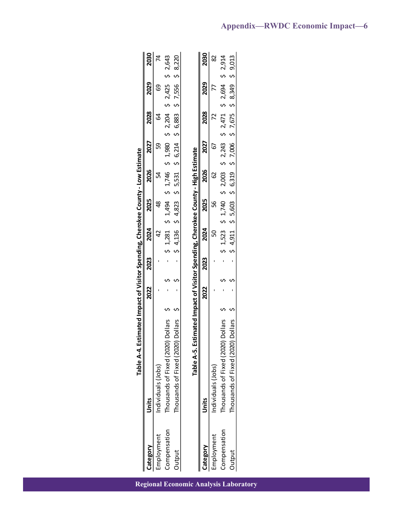|              | Table A-4. Estimated Impact of Visitor Spending, Cherokee County - Low Estimate           |      |      |      |      |                                                                |      |      |      |      |
|--------------|-------------------------------------------------------------------------------------------|------|------|------|------|----------------------------------------------------------------|------|------|------|------|
| Category     | Jnits                                                                                     | 2022 | 2023 | 2024 | 2025 | 2026                                                           | 2027 | 2028 | 2029 | 2030 |
| Employment   | ndividuals (Jobs)                                                                         |      |      |      |      |                                                                | 59   |      | 69   |      |
| Compensation | Thousands of Fixed (2020) Dollars                                                         |      |      |      |      | $$1,281$ $$1,494$ $$1,746$ $$1,980$ $$2,004$ $$2,425$ $$2,643$ |      |      |      |      |
| Output       | sellars<br>Thousands of Fixed (2020) I                                                    |      |      |      |      | $$4,136$ $$4,823$ $$5,531$ $$6,214$ $$6,883$ $$7,556$ $$8,220$ |      |      |      |      |
| Category     | Table A-5. Estimated Impact of Visitor Spending, Cherokee County - High Estimate<br>Jnits | 2022 | 2023 | 2024 | 2025 | 2026                                                           | 2027 | 2028 | 2029 | 2030 |
| Employment   | ndividuals (Jobs)                                                                         |      |      | 50   |      |                                                                |      |      |      |      |
| Compensation | Thousands of Fixed (2020) Dollars                                                         |      |      |      |      | 1,523 \$ 1,740 \$ 2,003 \$ 2,243 \$ 2,471 \$ 2,694 \$ 2,914    |      |      |      |      |
| Output       | <b>Dollars</b><br>Thousands of Fixed (2020) I                                             |      |      |      |      | $$4.911$ $$5.603$ $$6.319$ $$7.006$ $$7.675$ $$8.349$ $$9.013$ |      |      |      |      |

 $\textsf{Output} \hspace{1cm} \textsf{Though of Fixed (2020) Dollars} \hspace{1cm} 5 \hspace{1cm} - 5 \hspace{1cm} 5 \hspace{1cm} 4,911 \hspace{1cm} 5 \hspace{1cm} 5,603 \hspace{1cm} 5 \hspace{1cm} 6,319 \hspace{1cm} 5 \hspace{1cm} 7,605 \hspace{1cm} 5 \hspace{1cm} 8,349 \hspace{1cm} 5 \hspace{1cm} 9,013$